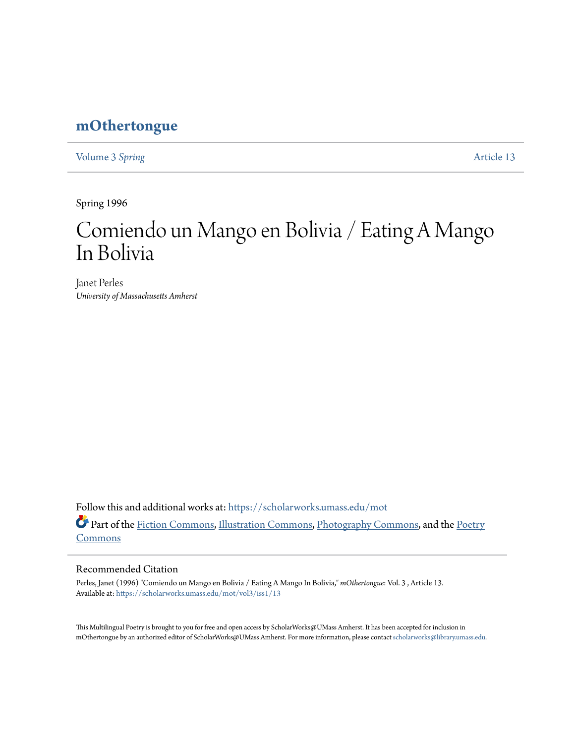## **[mOthertongue](https://scholarworks.umass.edu/mot?utm_source=scholarworks.umass.edu%2Fmot%2Fvol3%2Fiss1%2F13&utm_medium=PDF&utm_campaign=PDFCoverPages)**

[Volume 3](https://scholarworks.umass.edu/mot/vol3?utm_source=scholarworks.umass.edu%2Fmot%2Fvol3%2Fiss1%2F13&utm_medium=PDF&utm_campaign=PDFCoverPages) Spring **[Article 13](https://scholarworks.umass.edu/mot/vol3/iss1/13?utm_source=scholarworks.umass.edu%2Fmot%2Fvol3%2Fiss1%2F13&utm_medium=PDF&utm_campaign=PDFCoverPages)** 

Spring 1996

# Comiendo un Mango en Bolivia / Eating A Mango In Bolivia

Janet Perles *University of Massachusetts Amherst*

Follow this and additional works at: [https://scholarworks.umass.edu/mot](https://scholarworks.umass.edu/mot?utm_source=scholarworks.umass.edu%2Fmot%2Fvol3%2Fiss1%2F13&utm_medium=PDF&utm_campaign=PDFCoverPages) Part of the [Fiction Commons](http://network.bepress.com/hgg/discipline/1151?utm_source=scholarworks.umass.edu%2Fmot%2Fvol3%2Fiss1%2F13&utm_medium=PDF&utm_campaign=PDFCoverPages), [Illustration Commons,](http://network.bepress.com/hgg/discipline/1135?utm_source=scholarworks.umass.edu%2Fmot%2Fvol3%2Fiss1%2F13&utm_medium=PDF&utm_campaign=PDFCoverPages) [Photography Commons,](http://network.bepress.com/hgg/discipline/1142?utm_source=scholarworks.umass.edu%2Fmot%2Fvol3%2Fiss1%2F13&utm_medium=PDF&utm_campaign=PDFCoverPages) and the [Poetry](http://network.bepress.com/hgg/discipline/1153?utm_source=scholarworks.umass.edu%2Fmot%2Fvol3%2Fiss1%2F13&utm_medium=PDF&utm_campaign=PDFCoverPages) [Commons](http://network.bepress.com/hgg/discipline/1153?utm_source=scholarworks.umass.edu%2Fmot%2Fvol3%2Fiss1%2F13&utm_medium=PDF&utm_campaign=PDFCoverPages)

#### Recommended Citation

Perles, Janet (1996) "Comiendo un Mango en Bolivia / Eating A Mango In Bolivia," *mOthertongue*: Vol. 3 , Article 13. Available at: [https://scholarworks.umass.edu/mot/vol3/iss1/13](https://scholarworks.umass.edu/mot/vol3/iss1/13?utm_source=scholarworks.umass.edu%2Fmot%2Fvol3%2Fiss1%2F13&utm_medium=PDF&utm_campaign=PDFCoverPages)

This Multilingual Poetry is brought to you for free and open access by ScholarWorks@UMass Amherst. It has been accepted for inclusion in mOthertongue by an authorized editor of ScholarWorks@UMass Amherst. For more information, please contact [scholarworks@library.umass.edu](mailto:scholarworks@library.umass.edu).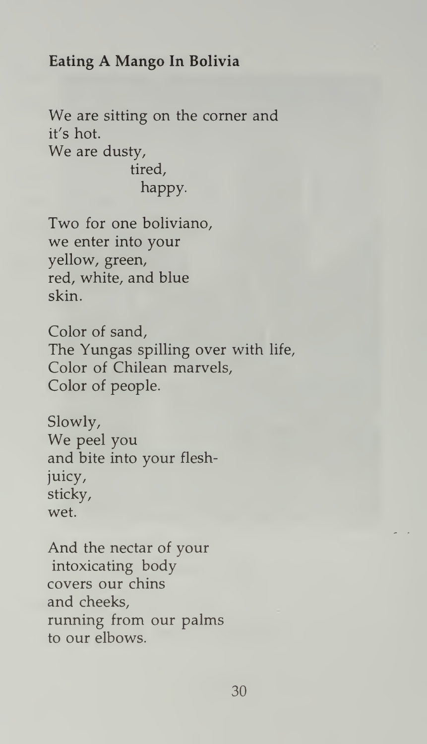#### Eating A Mango In Bolivia

We are sitting on the corner and it's hot. We are dusty, tired, happy.

Two for one boliviano, we enter into your yellow, green, red, white, and blue skin.

Color of sand, The Yungas spilling over with life, Color of Chilean marvels, Color of people.

Slowly, We peel you and bite into your fleshjuicy, sticky, wet.

And the nectar of your intoxicating body covers our chins and cheeks, running from our palms to our elbows.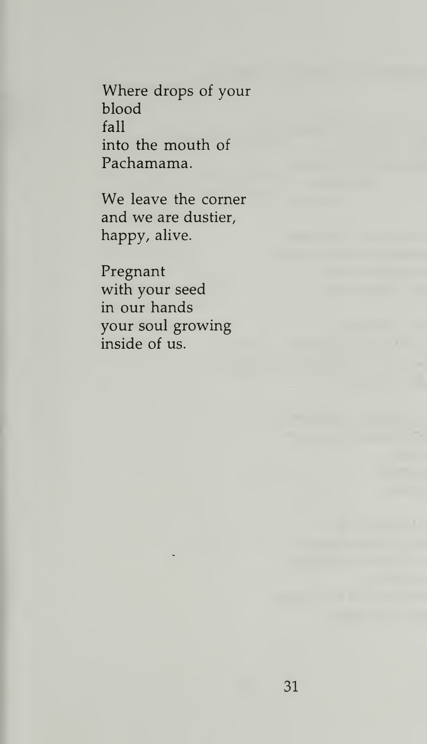Where drops of your blood fall into the mouth of Pachamama.

We leave the corner and we are dustier, happy, alive.

Pregnant with your seed in our hands your soul growing inside of us.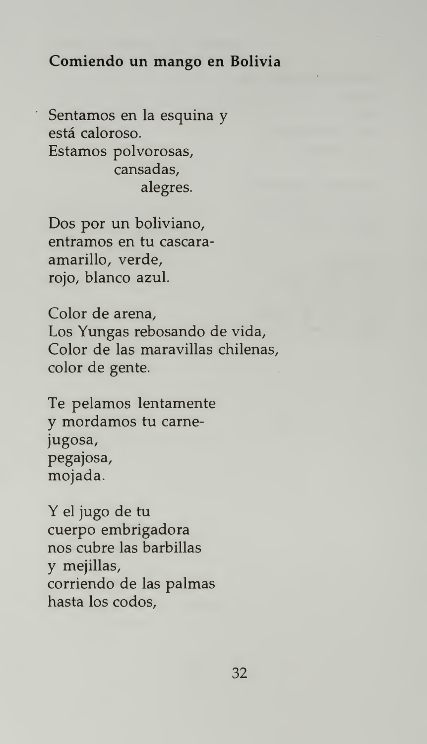#### Comiendo un mango en Bolivia

Sentamos en la esquina y está caloroso. Estamos polvorosas, cansadas, alegres.

Dos por un boliviano, entramos en tu cascara amarillo, verde, rojo, bianco azul.

Color de arena, Los Yungas rebosando de vida, Color de las maravillas chilenas, color de gente.

Te pelamos lentamente y mordamos tu carne jugosa, pegajosa, mojada.

Y el jugo de tu cuerpo embrigadora nos cubre las barbillas y mejillas, corriendo de las palmas hasta los codos,